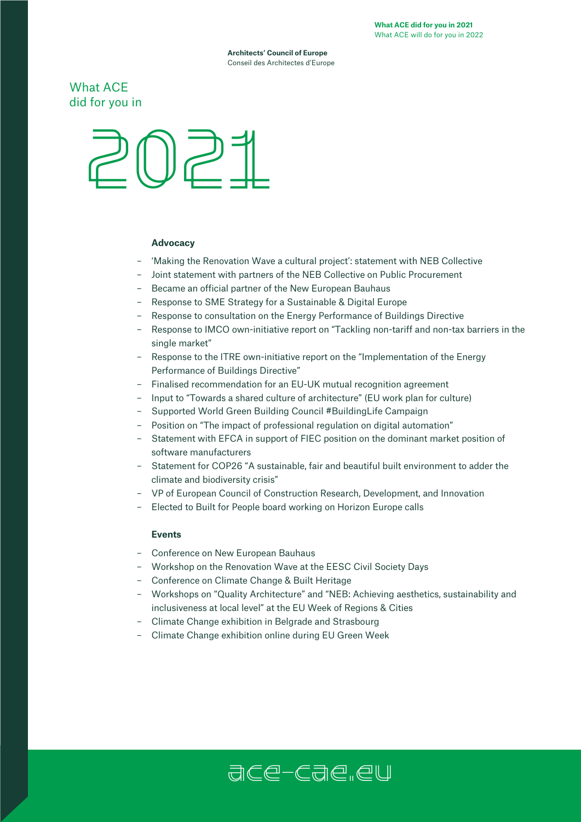**Architects' Council of Europe** Conseil des Architectes d'Europe

# What ACE did for you in



# **Advocacy**

- 'Making the Renovation Wave a cultural project': statement with NEB Collective
- Joint statement with partners of the NEB Collective on Public Procurement
- Became an official partner of the New European Bauhaus
- Response to SME Strategy for a Sustainable & Digital Europe
- Response to consultation on the Energy Performance of Buildings Directive
- Response to IMCO own-initiative report on "Tackling non-tariff and non-tax barriers in the single market"
- Response to the ITRE own-initiative report on the "Implementation of the Energy Performance of Buildings Directive"
- Finalised recommendation for an EU-UK mutual recognition agreement
- Input to "Towards a shared culture of architecture" (EU work plan for culture)
- Supported World Green Building Council #BuildingLife Campaign
- Position on "The impact of professional regulation on digital automation"
- Statement with EFCA in support of FIEC position on the dominant market position of software manufacturers
- Statement for COP26 "A sustainable, fair and beautiful built environment to adder the climate and biodiversity crisis"
- VP of European Council of Construction Research, Development, and Innovation
- Elected to Built for People board working on Horizon Europe calls

#### **Events**

- Conference on New European Bauhaus
- Workshop on the Renovation Wave at the EESC Civil Society Days
- Conference on Climate Change & Built Heritage
- Workshops on "Quality Architecture" and "NEB: Achieving aesthetics, sustainability and inclusiveness at local level" at the EU Week of Regions & Cities
- Climate Change exhibition in Belgrade and Strasbourg
- Climate Change exhibition online during EU Green Week